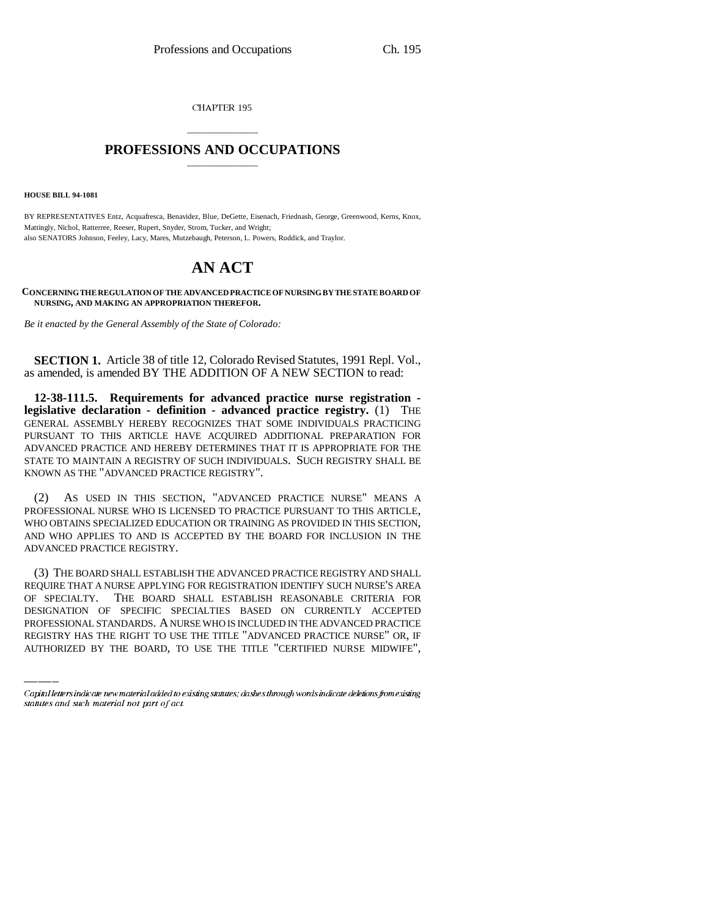CHAPTER 195

## \_\_\_\_\_\_\_\_\_\_\_\_\_\_\_ **PROFESSIONS AND OCCUPATIONS** \_\_\_\_\_\_\_\_\_\_\_\_\_\_\_

**HOUSE BILL 94-1081**

BY REPRESENTATIVES Entz, Acquafresca, Benavidez, Blue, DeGette, Eisenach, Friednash, George, Greenwood, Kerns, Knox, Mattingly, Nichol, Ratterree, Reeser, Rupert, Snyder, Strom, Tucker, and Wright; also SENATORS Johnson, Feeley, Lacy, Mares, Mutzebaugh, Peterson, L. Powers, Ruddick, and Traylor.

## **AN ACT**

**CONCERNING THE REGULATION OF THE ADVANCED PRACTICE OF NURSING BY THE STATE BOARD OF NURSING, AND MAKING AN APPROPRIATION THEREFOR.**

*Be it enacted by the General Assembly of the State of Colorado:*

**SECTION 1.** Article 38 of title 12, Colorado Revised Statutes, 1991 Repl. Vol., as amended, is amended BY THE ADDITION OF A NEW SECTION to read:

**12-38-111.5. Requirements for advanced practice nurse registration legislative declaration - definition - advanced practice registry.** (1) THE GENERAL ASSEMBLY HEREBY RECOGNIZES THAT SOME INDIVIDUALS PRACTICING PURSUANT TO THIS ARTICLE HAVE ACQUIRED ADDITIONAL PREPARATION FOR ADVANCED PRACTICE AND HEREBY DETERMINES THAT IT IS APPROPRIATE FOR THE STATE TO MAINTAIN A REGISTRY OF SUCH INDIVIDUALS. SUCH REGISTRY SHALL BE KNOWN AS THE "ADVANCED PRACTICE REGISTRY".

(2) AS USED IN THIS SECTION, "ADVANCED PRACTICE NURSE" MEANS A PROFESSIONAL NURSE WHO IS LICENSED TO PRACTICE PURSUANT TO THIS ARTICLE, WHO OBTAINS SPECIALIZED EDUCATION OR TRAINING AS PROVIDED IN THIS SECTION, AND WHO APPLIES TO AND IS ACCEPTED BY THE BOARD FOR INCLUSION IN THE ADVANCED PRACTICE REGISTRY.

OF SPECIALTY. THE BOARD SHALL ESTABLISH REASONABLE CRITERIA FOR (3) THE BOARD SHALL ESTABLISH THE ADVANCED PRACTICE REGISTRY AND SHALL REQUIRE THAT A NURSE APPLYING FOR REGISTRATION IDENTIFY SUCH NURSE'S AREA DESIGNATION OF SPECIFIC SPECIALTIES BASED ON CURRENTLY ACCEPTED PROFESSIONAL STANDARDS. A NURSE WHO IS INCLUDED IN THE ADVANCED PRACTICE REGISTRY HAS THE RIGHT TO USE THE TITLE "ADVANCED PRACTICE NURSE" OR, IF AUTHORIZED BY THE BOARD, TO USE THE TITLE "CERTIFIED NURSE MIDWIFE",

Capital letters indicate new material added to existing statutes; dashes through words indicate deletions from existing statutes and such material not part of act.